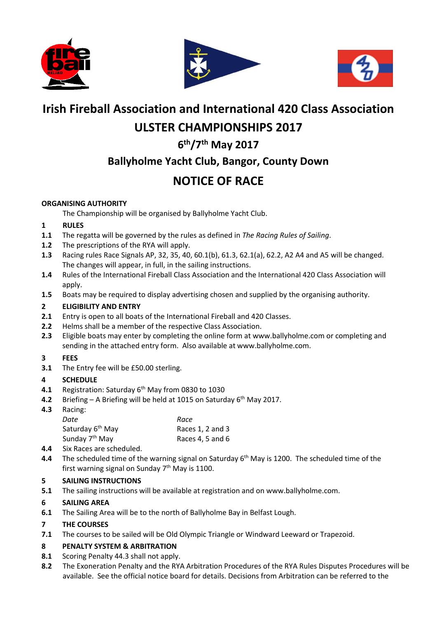





# **Irish Fireball Association and International 420 Class Association**

# **ULSTER CHAMPIONSHIPS 2017**

## **6 th/7th May 2017**

## **Ballyholme Yacht Club, Bangor, County Down**

# **NOTICE OF RACE**

## **ORGANISING AUTHORITY**

The Championship will be organised by Ballyholme Yacht Club.

## **1 RULES**

- **1.1** The regatta will be governed by the rules as defined in *The Racing Rules of Sailing*.
- **1.2** The prescriptions of the RYA will apply.
- **1.3** Racing rules Race Signals AP, 32, 35, 40, 60.1(b), 61.3, 62.1(a), 62.2, A2 A4 and A5 will be changed. The changes will appear, in full, in the sailing instructions.
- **1.4** Rules of the International Fireball Class Association and the International 420 Class Association will apply.
- **1.5** Boats may be required to display advertising chosen and supplied by the organising authority.

## **2 ELIGIBILITY AND ENTRY**

- **2.1** Entry is open to all boats of the International Fireball and 420 Classes.
- **2.2** Helms shall be a member of the respective Class Association.
- **2.3** Eligible boats may enter by completing the online form at www.ballyholme.com or completing and sending in the attached entry form. Also available at www.ballyholme.com.

## **3 FEES**

**3.1** The Entry fee will be £50.00 sterling.

## **4 SCHEDULE**

- **4.1** Registration: Saturday 6<sup>th</sup> May from 0830 to 1030
- **4.2** Briefing A Briefing will be held at 1015 on Saturday 6<sup>th</sup> May 2017.
- **4.3** Racing: *Date Race* Saturday 6<sup>th</sup> May Races 1, 2 and 3 Sunday 7<sup>th</sup> May Races 4, 5 and 6
- **4.4** Six Races are scheduled.
- **4.4** The scheduled time of the warning signal on Saturday 6<sup>th</sup> May is 1200. The scheduled time of the first warning signal on Sunday 7<sup>th</sup> May is 1100.

## **5 SAILING INSTRUCTIONS**

**5.1** The sailing instructions will be available at registration and on www.ballyholme.com.

## **6 SAILING AREA**

**6.1** The Sailing Area will be to the north of Ballyholme Bay in Belfast Lough.

## **7 THE COURSES**

**7.1** The courses to be sailed will be Old Olympic Triangle or Windward Leeward or Trapezoid.

## **8 PENALTY SYSTEM & ARBITRATION**

- **8.1** Scoring Penalty 44.3 shall not apply.
- **8.2** The Exoneration Penalty and the RYA Arbitration Procedures of the RYA Rules Disputes Procedures will be available. See the official notice board for details. Decisions from Arbitration can be referred to the